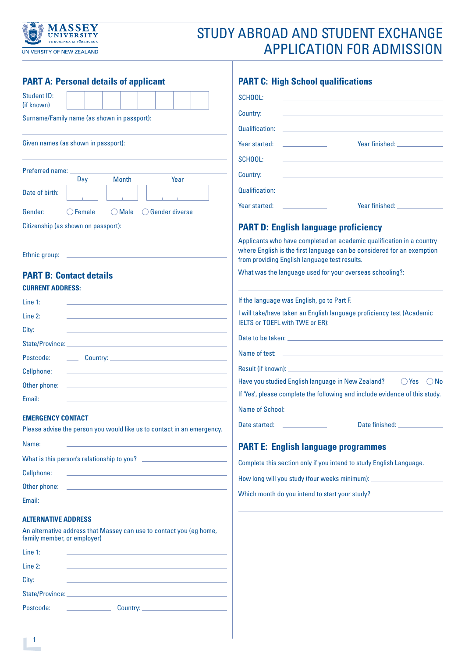

# STUDY ABROAD AND STUDENT EXCHANGE APPLICATION FOR ADMISSION

| <b>PART A: Personal details of applicant</b>                                                                                     | <b>PART C: High School qualifications</b>                                                                                                                                                       |
|----------------------------------------------------------------------------------------------------------------------------------|-------------------------------------------------------------------------------------------------------------------------------------------------------------------------------------------------|
| Student ID:                                                                                                                      | SCHOOL:                                                                                                                                                                                         |
| (if known)<br>Surname/Family name (as shown in passport):                                                                        | Country:                                                                                                                                                                                        |
|                                                                                                                                  | Qualification:                                                                                                                                                                                  |
| Given names (as shown in passport):                                                                                              | Year started:                                                                                                                                                                                   |
|                                                                                                                                  | <b>SCHOOL:</b>                                                                                                                                                                                  |
| Preferred name:<br><b>Month</b><br>Day<br>Year                                                                                   | Country:                                                                                                                                                                                        |
| Date of birth:                                                                                                                   | Qualification:                                                                                                                                                                                  |
|                                                                                                                                  | Year finished:<br>Year started:                                                                                                                                                                 |
| ◯ Gender diverse<br>Gender:<br>$\bigcirc$ Female<br>$\bigcirc$ Male                                                              |                                                                                                                                                                                                 |
| Citizenship (as shown on passport):                                                                                              | <b>PART D: English language proficiency</b>                                                                                                                                                     |
| Ethnic group:                                                                                                                    | Applicants who have completed an academic qualification in a country<br>where English is the first language can be considered for an exemption<br>from providing English language test results. |
| <b>PART B: Contact details</b>                                                                                                   | What was the language used for your overseas schooling?:                                                                                                                                        |
| <b>CURRENT ADDRESS:</b>                                                                                                          |                                                                                                                                                                                                 |
| Line $1:$                                                                                                                        | If the language was English, go to Part F.                                                                                                                                                      |
| Line 2:                                                                                                                          | I will take/have taken an English language proficiency test (Academic<br>IELTS or TOEFL with TWE or ER):                                                                                        |
| City:                                                                                                                            |                                                                                                                                                                                                 |
| State/Province:                                                                                                                  |                                                                                                                                                                                                 |
| Postcode:                                                                                                                        |                                                                                                                                                                                                 |
| Cellphone:<br>the control of the control of the control of the control of the control of the control of                          | Have you studied English language in New Zealand?<br>$()$ Yes<br>$()$ No                                                                                                                        |
| Other phone:                                                                                                                     | If 'Yes', please complete the following and include evidence of this study.                                                                                                                     |
| Email:                                                                                                                           |                                                                                                                                                                                                 |
| <b>EMERGENCY CONTACT</b>                                                                                                         | Date started:                                                                                                                                                                                   |
| Please advise the person you would like us to contact in an emergency.                                                           |                                                                                                                                                                                                 |
| Name:                                                                                                                            | <b>PART E: English language programmes</b>                                                                                                                                                      |
| What is this person's relationship to you?                                                                                       | Complete this section only if you intend to study English Language.                                                                                                                             |
| Cellphone:<br>the control of the control of the control of the control of the control of                                         | How long will you study (four weeks minimum): __________________________________                                                                                                                |
| Email:                                                                                                                           | Which month do you intend to start your study?                                                                                                                                                  |
|                                                                                                                                  |                                                                                                                                                                                                 |
| <b>ALTERNATIVE ADDRESS</b><br>An alternative address that Massey can use to contact you (eg home,<br>family member, or employer) |                                                                                                                                                                                                 |
| Line 1:<br>the control of the control of the control of the control of the control of the control of                             |                                                                                                                                                                                                 |
| Line 2:                                                                                                                          |                                                                                                                                                                                                 |
| City:<br>the control of the control of the control of the control of the control of the control of                               |                                                                                                                                                                                                 |
|                                                                                                                                  |                                                                                                                                                                                                 |
| Postcode:                                                                                                                        |                                                                                                                                                                                                 |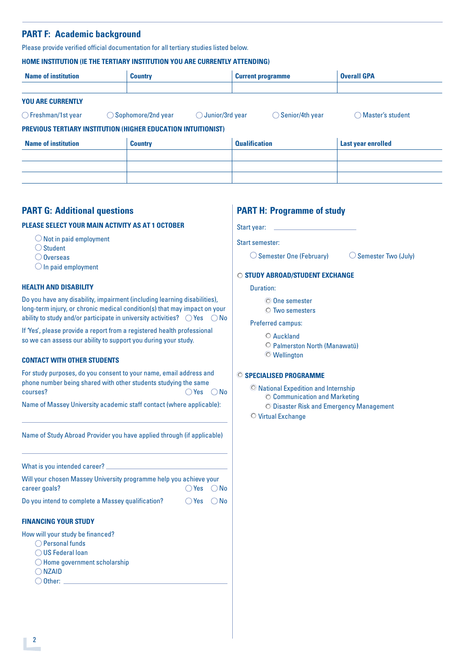# **PART F: Academic background**

Please provide verified official documentation for all tertiary studies listed below.

#### **HOME INSTITUTION (IE THE TERTIARY INSTITUTION YOU ARE CURRENTLY ATTENDING)**

| <b>Name of institution</b>                                    | <b>Country</b>                |                            |                      | <b>Current programme</b>   | <b>Overall GPA</b>          |
|---------------------------------------------------------------|-------------------------------|----------------------------|----------------------|----------------------------|-----------------------------|
|                                                               |                               |                            |                      |                            |                             |
| <b>YOU ARE CURRENTLY</b>                                      |                               |                            |                      |                            |                             |
| $\bigcirc$ Freshman/1st year                                  | $\bigcirc$ Sophomore/2nd year | $\bigcirc$ Junior/3rd year |                      | $\bigcirc$ Senior/4th year | Master's student<br>$( \ )$ |
| PREVIOUS TERTIARY INSTITUTION (HIGHER EDUCATION INTUITIONIST) |                               |                            |                      |                            |                             |
| <b>Name of institution</b>                                    | <b>Country</b>                |                            | <b>Qualification</b> |                            | Last year enrolled          |
|                                                               |                               |                            |                      |                            |                             |
|                                                               |                               |                            |                      |                            |                             |
|                                                               |                               |                            |                      |                            |                             |

## **PART G: Additional questions**

#### **PLEASE SELECT YOUR MAIN ACTIVITY AS AT 1 OCTOBER**

- $\bigcirc$  Not in paid employment
- ○Student
- $\bigcirc$  Overseas
- $\bigcirc$  In paid employment

#### **HEALTH AND DISABILITY**

Do you have any disability, impairment (including learning disabilities), long-term injury, or chronic medical condition(s) that may impact on your ability to study and/or participate in university activities?  $\bigcirc$  Yes  $\bigcirc$  No

If 'Yes', please provide a report from a registered health professional so we can assess our ability to support you during your study.

#### **CONTACT WITH OTHER STUDENTS**

For study purposes, do you consent to your name, email address and phone number being shared with other students studying the same courses?  $\bigcirc$  Yes  $\bigcirc$  No

Name of Massey University academic staff contact (where applicable):

Name of Study Abroad Provider you have applied through (if applicable)

What is you intended career?

Will your chosen Massey University programme help you achieve your career goals?  $\bigcirc$  Yes  $\bigcirc$  No

Do you intend to complete a Massey qualification?  $\bigcirc$  Yes  $\bigcirc$  No

#### **FINANCING YOUR STUDY**

- How will your study be financed?
	- Personal funds
	- $\bigcirc$  US Federal loan
	- $\bigcirc$  Home government scholarship
	- $\bigcap$  NZAID
	- $\bigcirc$  Other:

# **PART H: Programme of study**

Start year:

Start semester:

 $\bigcirc$  Semester One (February)  $\bigcirc$  Semester Two (July)

## **STUDY ABROAD/STUDENT EXCHANGE**

Duration:

- One semester
- Two semesters

#### Preferred campus:

- Auckland
- Palmerston North (Manawatū)
- Wellington

#### **SPECIALISED PROGRAMME**

National Expedition and Internship

- $\odot$  Communication and Marketing
- O Disaster Risk and Emergency Management
- O Virtual Exchange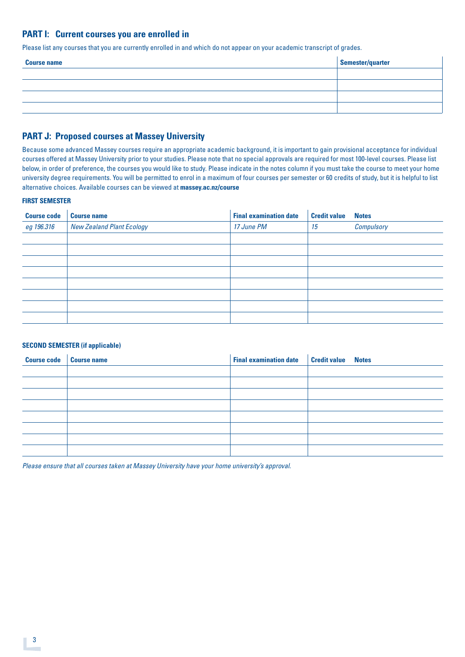## **PART I: Current courses you are enrolled in**

Please list any courses that you are currently enrolled in and which do not appear on your academic transcript of grades.

| <b>Course name</b> | Semester/quarter |
|--------------------|------------------|
|                    |                  |
|                    |                  |
|                    |                  |
|                    |                  |

## **PART J: Proposed courses at Massey University**

Because some advanced Massey courses require an appropriate academic background, it is important to gain provisional acceptance for individual courses offered at Massey University prior to your studies. Please note that no special approvals are required for most 100-level courses. Please list below, in order of preference, the courses you would like to study. Please indicate in the notes column if you must take the course to meet your home university degree requirements. You will be permitted to enrol in a maximum of four courses per semester or 60 credits of study, but it is helpful to list alternative choices. Available courses can be viewed at **[massey.ac.nz/course](http://massey.ac.nz/courses)**

#### **FIRST SEMESTER**

| <b>Course code</b> | <b>Course name</b>               | <b>Final examination date</b> | <b>Credit value</b> | <b>Notes</b> |
|--------------------|----------------------------------|-------------------------------|---------------------|--------------|
| eg 196.316         | <b>New Zealand Plant Ecology</b> | 17 June PM                    | 15                  | Compulsory   |
|                    |                                  |                               |                     |              |
|                    |                                  |                               |                     |              |
|                    |                                  |                               |                     |              |
|                    |                                  |                               |                     |              |
|                    |                                  |                               |                     |              |
|                    |                                  |                               |                     |              |
|                    |                                  |                               |                     |              |
|                    |                                  |                               |                     |              |

#### **SECOND SEMESTER (if applicable)**

| Course code   Course name | <b>Final examination date Credit value Notes</b> |  |
|---------------------------|--------------------------------------------------|--|
|                           |                                                  |  |
|                           |                                                  |  |
|                           |                                                  |  |
|                           |                                                  |  |
|                           |                                                  |  |
|                           |                                                  |  |
|                           |                                                  |  |
|                           |                                                  |  |

*Please ensure that all courses taken at Massey University have your home university's approval.*